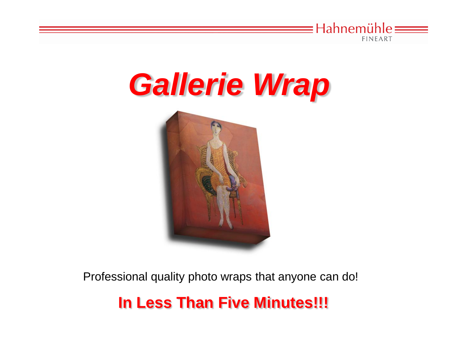

# *Gallerie Wrap*



Professional quality photo wraps that anyone can do!

#### **In Less Than Five Minutes!!!**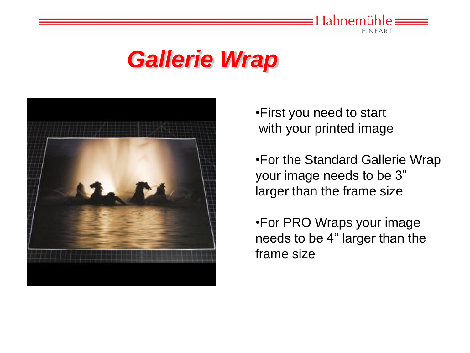

#### *Gallerie Wrap*



•First you need to start with your printed image

•For the Standard Gallerie Wrap your image needs to be 3" larger than the frame size

•For PRO Wraps your image needs to be 4" larger than the frame size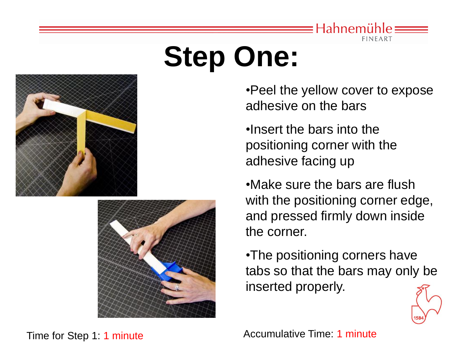

# **Step One:**





•Peel the yellow cover to expose adhesive on the bars

•Insert the bars into the positioning corner with the adhesive facing up

•Make sure the bars are flush with the positioning corner edge, and pressed firmly down inside the corner.

•The positioning corners have tabs so that the bars may only be inserted properly.



Time for Step 1: 1 minute Time: 1 minute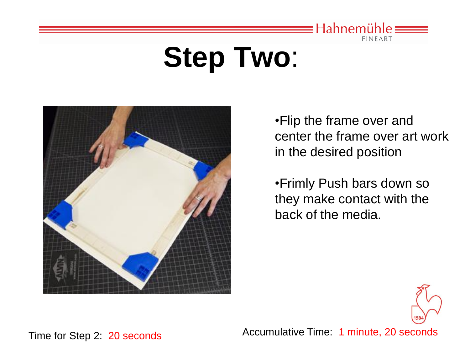

## **Step Two**:



•Flip the frame over and center the frame over art work in the desired position

•Frimly Push bars down so they make contact with the back of the media.



Time for Step 2: 20 seconds Accumulative Time: 1 minute, 20 seconds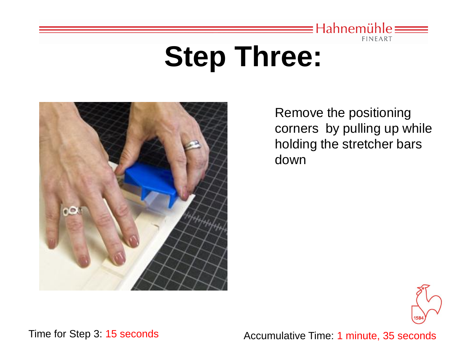

#### **Step Three:**



Remove the positioning corners by pulling up while holding the stretcher bars down



Time for Step 3: 15 seconds **Accumulative Time: 1 minute, 35 seconds**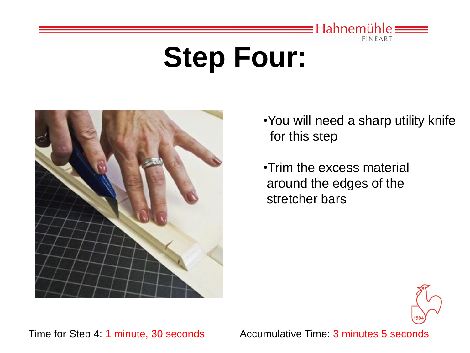

## **Step Four:**



•You will need a sharp utility knife for this step

•Trim the excess material around the edges of the stretcher bars



Time for Step 4: 1 minute, 30 seconds Accumulative Time: 3 minutes 5 seconds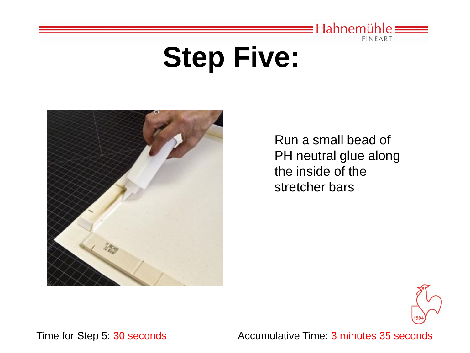

#### **Step Five:**



Run a small bead of PH neutral glue along the inside of the stretcher bars



Time for Step 5: 30 seconds Accumulative Time: 3 minutes 35 seconds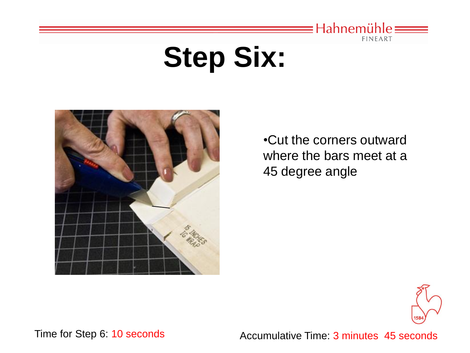

## **Step Six:**



•Cut the corners outward where the bars meet at a 45 degree angle



Time for Step 6: 10 seconds Accumulative Time: 3 minutes 45 seconds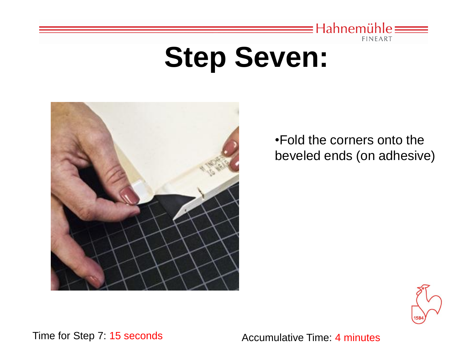

#### **Step Seven:**



•Fold the corners onto the beveled ends (on adhesive)



Time for Step 7: 15 seconds Accumulative Time: 4 minutes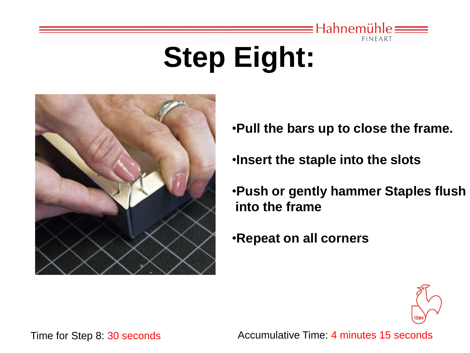

# **Step Eight:**



- •**Pull the bars up to close the frame.**
- •**Insert the staple into the slots**
- •**Push or gently hammer Staples flush into the frame**
- •**Repeat on all corners**



Time for Step 8: 30 seconds Accumulative Time: 4 minutes 15 seconds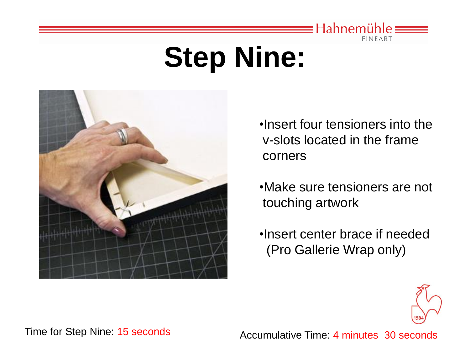

## **Step Nine:**



•Insert four tensioners into the v-slots located in the frame corners

•Make sure tensioners are not touching artwork

•Insert center brace if needed (Pro Gallerie Wrap only)



Time for Step Nine: 15 seconds Accumulative Time: 4 minutes 30 seconds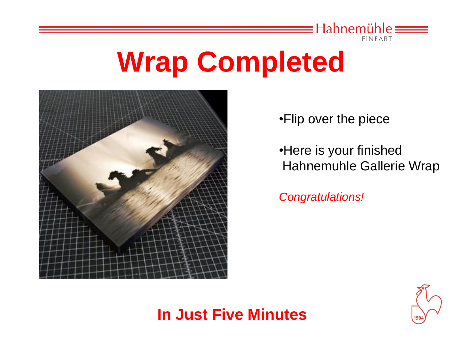

#### **Wrap Completed**



•Flip over the piece

•Here is your finished Hahnemuhle Gallerie Wrap

*Congratulations!* 

#### **In Just Five Minutes**

![](_page_11_Picture_7.jpeg)